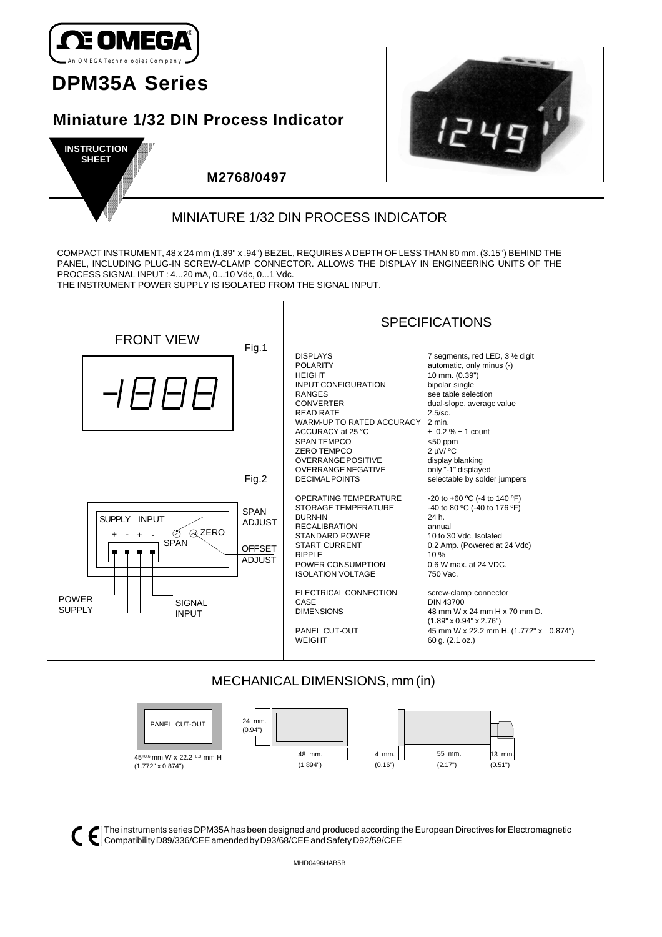

# **DPM35A Series**

## **Miniature 1/32 DIN Process Indicator**





## **M2768/0497**

## MINIATURE 1/32 DIN PROCESS INDICATOR

COMPACT INSTRUMENT, 48 x 24 mm (1.89" x .94") BEZEL, REQUIRES A DEPTH OF LESS THAN 80 mm. (3.15") BEHIND THE PANEL, INCLUDING PLUG-IN SCREW-CLAMP CONNECTOR. ALLOWS THE DISPLAY IN ENGINEERING UNITS OF THE PROCESS SIGNAL INPUT : 4...20 mA, 0...10 Vdc, 0...1 Vdc.

THE INSTRUMENT POWER SUPPLY IS ISOLATED FROM THE SIGNAL INPUT.



## MECHANICAL DIMENSIONS, mm (in)



The instruments series DPM35A has been designed and produced according the European Directives for Electromagnetic CC ennematibility D89/336/CEE amended by D93/68/CEE and Safety D92/59/CEE

MHD0496HAB5B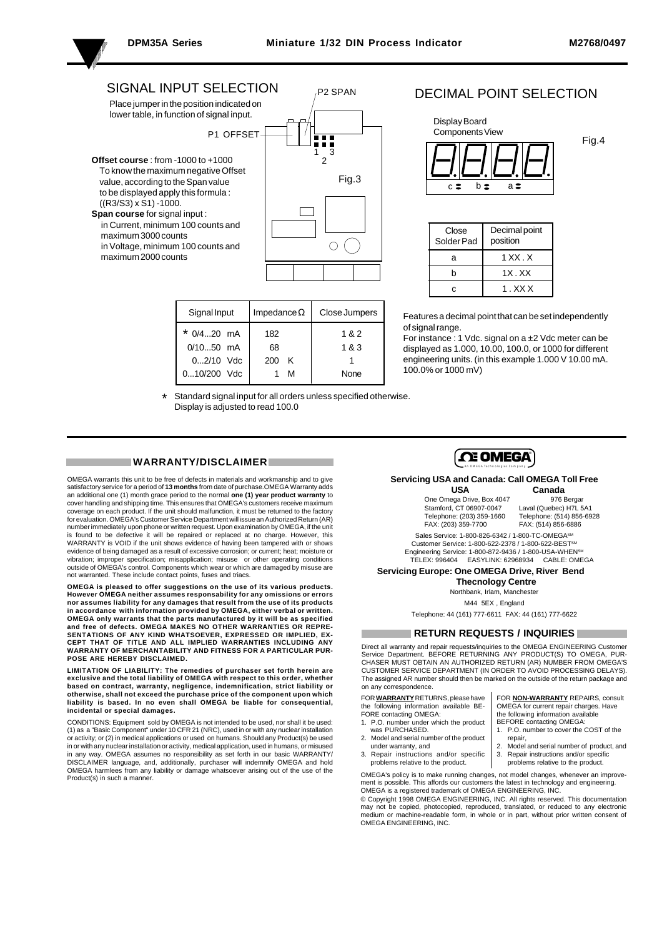**Service Controllers** the control of the control of the con-

P2 SPAN

### SIGNAL INPUT SELECTION Place jumper in the position indicated on

lower table, in function of signal input.

- P1 OFFSET
- **Offset course** : from -1000 to +1000 To know the maximum negative Offset value, according to the Span value to be displayed apply this formula :  $((R3/S3) \times S1) - 1000.$ **Span course** for signal input :
- in Current, minimum 100 counts and maximum 3000 counts in Voltage, minimum 100 counts and maximum 2000 counts



| Signal Input  | Impedance $\Omega$ | Close Jumpers |
|---------------|--------------------|---------------|
| * $0/420$ mA  | 182                | 1&2           |
| $0/1050$ mA   | 68                 | 1 & 3         |
| $02/10$ Vdc   | κ<br>200           |               |
| $010/200$ Vdc | м                  | None          |

### DECIMAL POINT SELECTION



| Close<br>Solder Pad | Decimal point<br>position |
|---------------------|---------------------------|
| а                   | 1 X X X                   |
| h                   | $1X$ , $XX$               |
| c                   | 1 . XX X                  |

Features a decimal point that can be set independently of signal range.

For instance : 1 Vdc. signal on a ±2 Vdc meter can be displayed as 1.000, 10.00, 100.0, or 1000 for different engineering units. (in this example 1.000 V 10.00 mA. 100.0% or 1000 mV)

Standard signal input for all orders unless specified otherwise. Display is adjusted to read 100.0

#### **WARRANTY/DISCLAIMER**

OMEGA warrants this unit to be free of defects in materials and workmanship and to give satisfactory service for a period of **13 months** from date of purchase.OMEGA Warranty adds an additional one (1) month grace period to the normal **one (1) year product warranty** to cover handling and shipping time. This ensures that OMEGA's customers receive maximum coverage on each product. If the unit should malfunction, it must be returned to the factor for evaluation. OMEGA's Customer Service Department will issue an Authorized Return (AR) number immediately upon phone or written request. Upon examination by OMEGA, if the unit is found to be defective it will be repaired or replaced at no charge. However, this WARRANTY is VOID if the unit shows evidence of having been tampered with or shows evidence of being damaged as a result of excessive corrosion; or current; heat; moisture or vibration; improper specification; misapplication; misuse or other operating conditions outside of OMEGA's control. Components which wear or which are damaged by misuse are not warranted. These include contact points, fuses and triacs.

. **OMEGA is pleased to offer suggestions on the use of its various products. However OMEGA neither assumes responsability for any omissions or errors nor assumes liability for any damages that result from the use of its products in accordance with information provided by OMEGA, either verbal or written.** OMEGA only warrants that the parts manufactured by it will be as specified<br>and free of defects. OMEGA MAKES NO OTHER WARRANTIES OR REPRE-<br>SENTATIONS OF ANY KIND WHATSOEVER, EXPRESSED OR IMPLIED, EX-<br>CEPT THAT OF TITLE AND **POSE ARE HEREBY DISCLAIMED.**

**LIMITATION OF LIABILITY: The remedies of purchaser set forth herein are exclusive and the total liability of OMEGA with respect to this order, whether based on contract, warranty, negligence, indemnification, strict liability or otherwise, shall not exceed the purchase price of the component upon which liability is based. In no even shall OMEGA be liable for consequential, incidental or special damages.**

CONDITIONS: Equipment sold by OMEGA is not intended to be used, nor shall it be used: (1) as a "Basic Component" under 10 CFR 21 (NRC), used in or with any nuclear installation or activity; or (2) in medical applications or used on humans. Should any Product(s) be used in or with any nuclear installation or activity, medical application, used in humans, or misused in any way. OMEGA assumes no responsibility as set forth in our basic WARRANTY/ DISCLAIMER language, and, additionally, purchaser will indemnify OMEGA and hold OMEGA harmlees from any liability or damage whatsoever arising out of the use of the Product(s) in such a manner.



### **Servicing USA and Canada: Call OMEGA Toll Free**

One Omega Drive, Box 4047 Stamford, CT 06907-0047<br>Telephone: (203) 359-1660 Stamford, CT 06907-0047 Laval (Quebec) H7L 5A1<br>Telephone: (203) 359-1660 Telephone: (514) 856-6928<br>FAX: (203) 359-7700 FAX: (514) 856-6886

**USA Canada**<br>ega Drive, Box 4047 976 Berga FAX: (514) 856-6886

Sales Service: 1-800-826-6342 / 1-800-TC-OMEGASM Customer Service: 1-800-622-2378 / 1-800-622-BESTSM Engineering Service: 1-800-872-9436 / 1-800-USA-WHENSM TELEX: 996404 EASYLINK: 62968934 CABLE: OMEGA

**Servicing Europe: One OMEGA Drive, River Bend**

 **Thecnology Centre** Northbank, Irlam, Manchester

M44 5EX , England

Telephone: 44 (161) 777-6611 FAX: 44 (161) 777-6622

#### **RETURN REQUESTS / INQUIRIES**

Direct all warranty and repair requests/inquiries to the OMEGA ENGINEERING Customer Service Department. BEFORE RETURNING ANY PRODUCT(S) TO OMEGA, PUR-CHASER MUST OBTAIN AN AUTHORIZED RETURN (AR) NUMBER FROM OMEGA'S CUSTOMER SERVICE DEPARTMENT (IN ORDER TO AVOID PROCESSING DELAYS). The assigned AR number should then be marked on the outside of the return package and on any correspondence.

FOR **WARRANTY** RETURNS, please have the following information available BE-FORE contacting OMEGA:

1. P.O. number under which the product was PURCHASED.

- 2. Model and serial number of the product
- under warranty, and 3. Repair instructions and/or specific problems relative to the product.

FOR **NON-WARRANTY** REPAIRS, consult OMEGA for current repair charges. Have the following information available BEFORE contacting OMEGA:

- 1. P.O. number to cover the COST of the repair,
- 2. Model and serial number of product, and<br>3. Repair instructions and/or specific 3. Repair instructions and/or specific
- problems relative to the product.

OMEGA's policy is to make running changes, not model changes, whenever an improvement is possible. This affords our customers the latest in technology and engineering. OMEGA is a registered trademark of OMEGA ENGINEERING, INC.

© Copyright 1998 OMEGA ENGINEERING, INC. All rights reserved. This documentation may not be copied, photocopied, reproduced, translated, or reduced to any electronic ium or machine-readable form, in whole or in part, without prior written consent of OMEGA ENGINEERING, INC.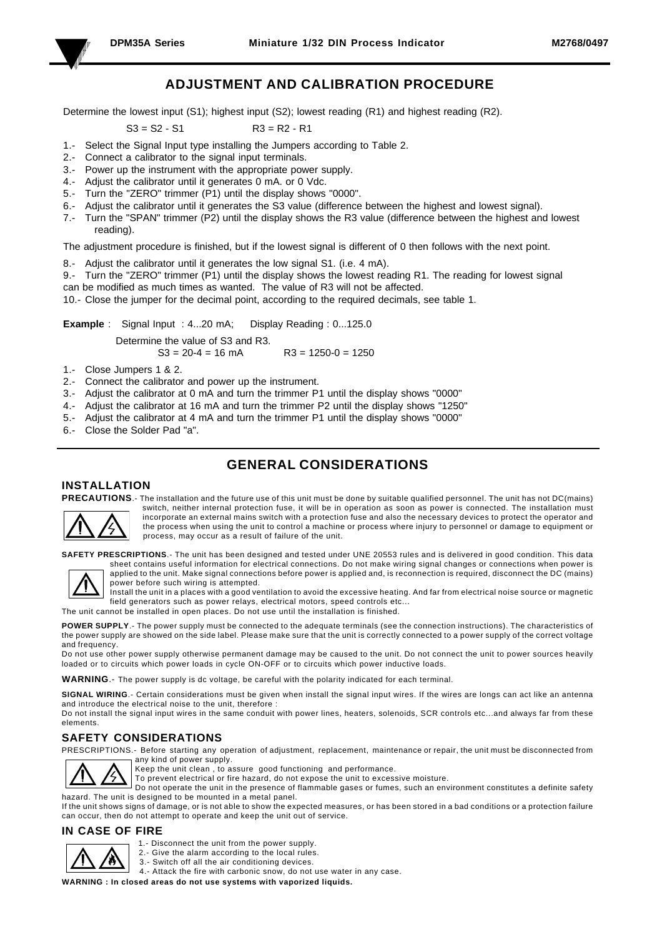

the control of the control of the con-

## **ADJUSTMENT AND CALIBRATION PROCEDURE**

Determine the lowest input (S1); highest input (S2); lowest reading (R1) and highest reading (R2).

 $S3 = S2 - S1$ 

$$
R3 = R2 - R1
$$

- 1.- Select the Signal Input type installing the Jumpers according to Table 2.
- 2.- Connect a calibrator to the signal input terminals.
- 3.- Power up the instrument with the appropriate power supply.
- 4.- Adjust the calibrator until it generates 0 mA. or 0 Vdc.
- 5.- Turn the "ZERO" trimmer (P1) until the display shows "0000".
- 6.- Adjust the calibrator until it generates the S3 value (difference between the highest and lowest signal).
- 7.- Turn the "SPAN" trimmer (P2) until the display shows the R3 value (difference between the highest and lowest reading).

The adjustment procedure is finished, but if the lowest signal is different of 0 then follows with the next point.

- 8.- Adjust the calibrator until it generates the low signal S1. (i.e. 4 mA).
- 9.- Turn the "ZERO" trimmer (P1) until the display shows the lowest reading R1. The reading for lowest signal can be modified as much times as wanted. The value of R3 will not be affected.
- 10.- Close the jumper for the decimal point, according to the required decimals, see table 1.

**Example** : Signal Input : 4...20 mA; Display Reading : 0...125.0 Determine the value of S3 and R3.

 $S3 = 20-4 = 16$  mA  $R3 = 1250-0 = 1250$ 

1.- Close Jumpers 1 & 2.

- 2.- Connect the calibrator and power up the instrument.
- 3.- Adjust the calibrator at 0 mA and turn the trimmer P1 until the display shows "0000"
- 4.- Adjust the calibrator at 16 mA and turn the trimmer P2 until the display shows "1250"
- 5.- Adjust the calibrator at 4 mA and turn the trimmer P1 until the display shows "0000"
- 6.- Close the Solder Pad "a".

## **GENERAL CONSIDERATIONS**

#### **INSTALLATION**



**PRECAUTIONS**.- The installation and the future use of this unit must be done by suitable qualified personnel. The unit has not DC(mains) switch, neither internal protection fuse, it will be in operation as soon as power is connected. The installation must incorporate an external mains switch with a protection fuse and also the necessary devices to protect the operator and the process when using the unit to control a machine or process where injury to personnel or damage to equipment or process, may occur as a result of failure of the unit.

**SAFETY PRESCRIPTIONS**.- The unit has been designed and tested under UNE 20553 rules and is delivered in good condition. This data



sheet contains useful information for electrical connections. Do not make wiring signal changes or connections when power is applied to the unit. Make signal connections before power is applied and, is reconnection is required, disconnect the DC (mains) power before such wiring is attempted.



Install the unit in a places with a good ventilation to avoid the excessive heating. And far from electrical noise source or magnetic field generators such as power relays, electrical motors, speed controls etc...

The unit cannot be installed in open places. Do not use until the installation is finished.

**POWER SUPPLY**.- The power supply must be connected to the adequate terminals (see the connection instructions). The characteristics of the power supply are showed on the side label. Please make sure that the unit is correctly connected to a power supply of the correct voltage and frequency.

Do not use other power supply otherwise permanent damage may be caused to the unit. Do not connect the unit to power sources heavily loaded or to circuits which power loads in cycle ON-OFF or to circuits which power inductive loads.

**WARNING**.- The power supply is dc voltage, be careful with the polarity indicated for each terminal.

**SIGNAL WIRING**.- Certain considerations must be given when install the signal input wires. If the wires are longs can act like an antenna and introduce the electrical noise to the unit, therefore :

Do not install the signal input wires in the same conduit with power lines, heaters, solenoids, SCR controls etc...and always far from these elements.

### **SAFETY CONSIDERATIONS**

PRESCRIPTIONS.- Before starting any operation of adjustment, replacement, maintenance or repair, the unit must be disconnected from any kind of power supply.



Keep the unit clean , to assure good functioning and performance.

To prevent electrical or fire hazard, do not expose the unit to excessive moisture.

Do not operate the unit in the presence of flammable gases or fumes, such an environment constitutes a definite safety hazard. The unit is designed to be mounted in a metal panel.

If the unit shows signs of damage, or is not able to show the expected measures, or has been stored in a bad conditions or a protection failure can occur, then do not attempt to operate and keep the unit out of service.

### **IN CASE OF FIRE**



- 1.- Disconnect the unit from the power supply.
- 2.- Give the alarm according to the local rules.
- 3.- Switch off all the air conditioning devices.
- 4.- Attack the fire with carbonic snow, do not use water in any case.

**WARNING : In closed areas do not use systems with vaporized liquids.**